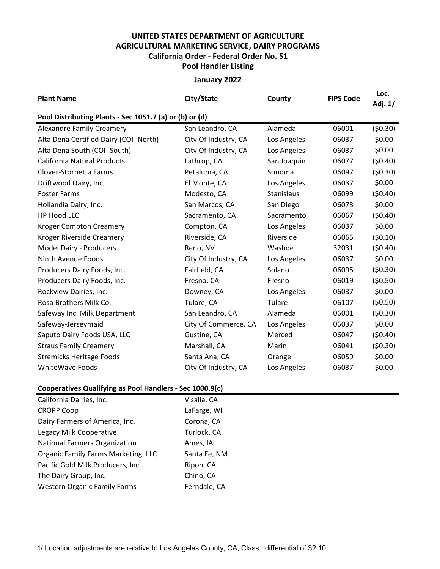## **UNITED STATES DEPARTMENT OF AGRICULTURE AGRICULTURAL MARKETING SERVICE, DAIRY PROGRAMS Pool Handler Listing California Order - Federal Order No. 51**

## **January 2022**

| <b>Plant Name</b>                                       | City/State           | County      | <b>FIPS Code</b> | Loc.<br>Adj. 1/ |  |  |  |  |  |  |
|---------------------------------------------------------|----------------------|-------------|------------------|-----------------|--|--|--|--|--|--|
| Pool Distributing Plants - Sec 1051.7 (a) or (b) or (d) |                      |             |                  |                 |  |  |  |  |  |  |
| <b>Alexandre Family Creamery</b>                        | San Leandro, CA      | Alameda     | 06001            | (50.30)         |  |  |  |  |  |  |
| Alta Dena Certified Dairy (COI- North)                  | City Of Industry, CA | Los Angeles | 06037            | \$0.00          |  |  |  |  |  |  |
| Alta Dena South (COI- South)                            | City Of Industry, CA | Los Angeles | 06037            | \$0.00          |  |  |  |  |  |  |
| <b>California Natural Products</b>                      | Lathrop, CA          | San Joaquin | 06077            | (50.40)         |  |  |  |  |  |  |
| Clover-Stornetta Farms                                  | Petaluma, CA         | Sonoma      | 06097            | (50.30)         |  |  |  |  |  |  |
| Driftwood Dairy, Inc.                                   | El Monte, CA         | Los Angeles | 06037            | \$0.00          |  |  |  |  |  |  |
| <b>Foster Farms</b>                                     | Modesto, CA          | Stanislaus  | 06099            | (50.40)         |  |  |  |  |  |  |
| Hollandia Dairy, Inc.                                   | San Marcos, CA       | San Diego   | 06073            | \$0.00          |  |  |  |  |  |  |
| HP Hood LLC                                             | Sacramento, CA       | Sacramento  | 06067            | (50.40)         |  |  |  |  |  |  |
| <b>Kroger Compton Creamery</b>                          | Compton, CA          | Los Angeles | 06037            | \$0.00          |  |  |  |  |  |  |
| Kroger Riverside Creamery                               | Riverside, CA        | Riverside   | 06065            | (50.10)         |  |  |  |  |  |  |
| Model Dairy - Producers                                 | Reno, NV             | Washoe      | 32031            | (50.40)         |  |  |  |  |  |  |
| Ninth Avenue Foods                                      | City Of Industry, CA | Los Angeles | 06037            | \$0.00          |  |  |  |  |  |  |
| Producers Dairy Foods, Inc.                             | Fairfield, CA        | Solano      | 06095            | (50.30)         |  |  |  |  |  |  |
| Producers Dairy Foods, Inc.                             | Fresno, CA           | Fresno      | 06019            | (50.50)         |  |  |  |  |  |  |
| Rockview Dairies, Inc.                                  | Downey, CA           | Los Angeles | 06037            | \$0.00          |  |  |  |  |  |  |
| Rosa Brothers Milk Co.                                  | Tulare, CA           | Tulare      | 06107            | (50.50)         |  |  |  |  |  |  |
| Safeway Inc. Milk Department                            | San Leandro, CA      | Alameda     | 06001            | (50.30)         |  |  |  |  |  |  |
| Safeway-Jerseymaid                                      | City Of Commerce, CA | Los Angeles | 06037            | \$0.00          |  |  |  |  |  |  |
| Saputo Dairy Foods USA, LLC                             | Gustine, CA          | Merced      | 06047            | (50.40)         |  |  |  |  |  |  |
| <b>Straus Family Creamery</b>                           | Marshall, CA         | Marin       | 06041            | (50.30)         |  |  |  |  |  |  |
| <b>Stremicks Heritage Foods</b>                         | Santa Ana, CA        | Orange      | 06059            | \$0.00          |  |  |  |  |  |  |
| WhiteWave Foods                                         | City Of Industry, CA | Los Angeles | 06037            | \$0.00          |  |  |  |  |  |  |

## **Cooperatives Qualifying as Pool Handlers - Sec 1000.9(c)**

| California Dairies, Inc.             | Visalia, CA  |
|--------------------------------------|--------------|
| <b>CROPP Coop</b>                    | LaFarge, WI  |
| Dairy Farmers of America, Inc.       | Corona, CA   |
| Legacy Milk Cooperative              | Turlock, CA  |
| <b>National Farmers Organization</b> | Ames, IA     |
| Organic Family Farms Marketing, LLC  | Santa Fe, NM |
| Pacific Gold Milk Producers, Inc.    | Ripon, CA    |
| The Dairy Group, Inc.                | Chino, CA    |
| <b>Western Organic Family Farms</b>  | Ferndale, CA |